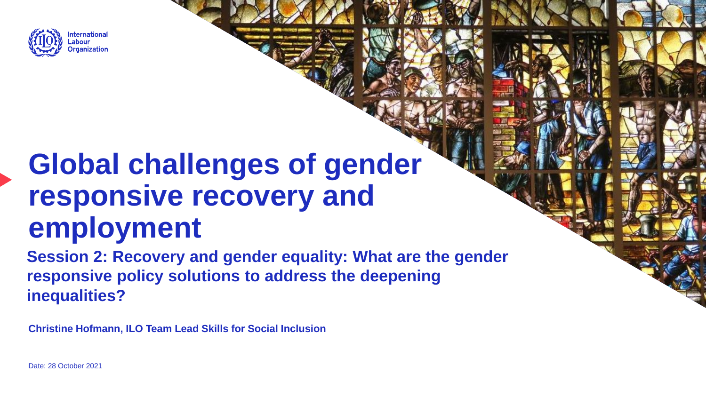

# **Global challenges of gender responsive recovery and employment**

**Session 2: Recovery and gender equality: What are the gender responsive policy solutions to address the deepening inequalities?**

**Christine Hofmann, ILO Team Lead Skills for Social Inclusion**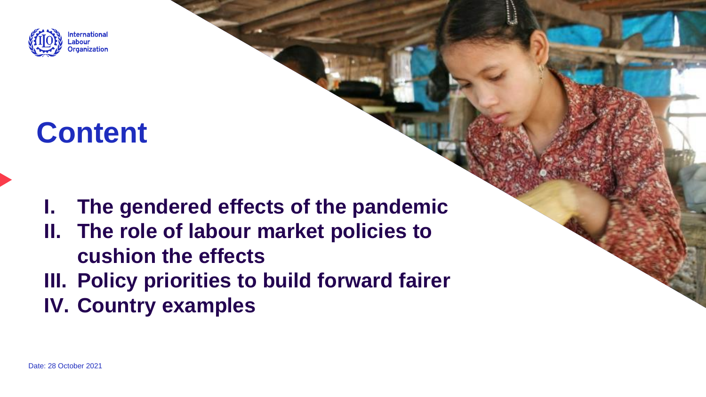

## **Content**

**I. The gendered effects of the pandemic II. The role of labour market policies to cushion the effects III. Policy priorities to build forward fairer IV. Country examples**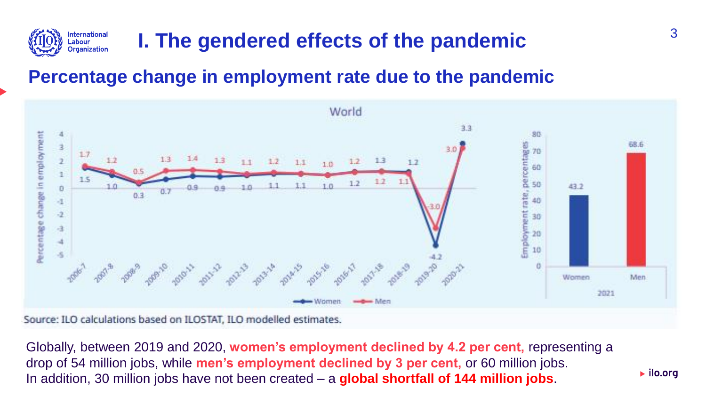

## **I. The gendered effects of the pandemic**

### **Percentage change in employment rate due to the pandemic**



Source: ILO calculations based on ILOSTAT, ILO modelled estimates.

Globally, between 2019 and 2020, **women's employment declined by 4.2 per cent,** representing a drop of 54 million jobs, while **men's employment declined by 3 per cent,** or 60 million jobs. In addition, 30 million jobs have not been created – a **global shortfall of 144 million jobs**.

 $\blacktriangleright$  ilo.org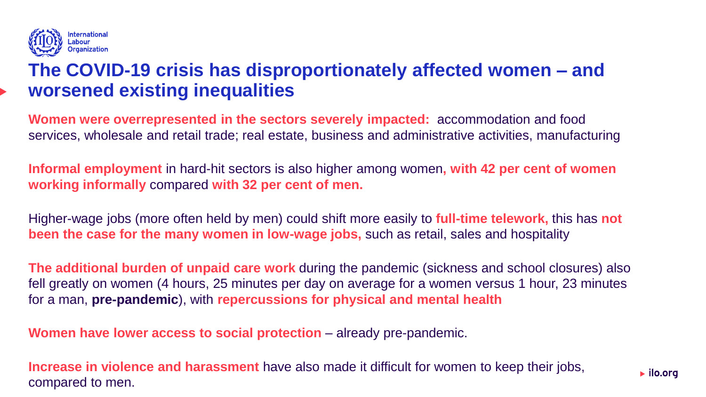

### **The COVID-19 crisis has disproportionately affected women – and worsened existing inequalities**

**Women were overrepresented in the sectors severely impacted:** accommodation and food services, wholesale and retail trade; real estate, business and administrative activities, manufacturing

**Informal employment** in hard-hit sectors is also higher among women**, with 42 per cent of women working informally** compared **with 32 per cent of men.**

Higher-wage jobs (more often held by men) could shift more easily to **full-time telework,** this has **not been the case for the many women in low-wage jobs,** such as retail, sales and hospitality

**The additional burden of unpaid care work** during the pandemic (sickness and school closures) also fell greatly on women (4 hours, 25 minutes per day on average for a women versus 1 hour, 23 minutes for a man, **pre-pandemic**), with **repercussions for physical and mental health**

**Women have lower access to social protection** – already pre-pandemic.

**Increase in violence and harassment** have also made it difficult for women to keep their jobs, compared to men.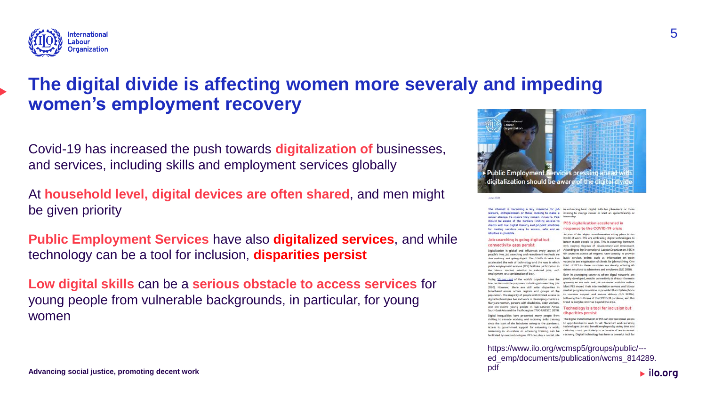

### **The digital divide is affecting women more severaly and impeding women's employment recovery**

Covid-19 has increased the push towards **digitalization of** businesses, and services, including skills and employment services globally

At **household level, digital devices are often shared**, and men might be given priority

**Public Employment Services** have also **digitalized services**, and while technology can be a tool for inclusion, **disparities persist**

**Low digital skills** can be a **serious obstacle to access services** for young people from vulnerable backgrounds, in particular, for young women



The internet is becoming a key resource for job in enhancing basic digital skills for jobseeleers, or those seekers, entrepreneurs or those looking to make a wishing to change career or start an apprenticeship or career change. To ensure they remain inclusive, PES internship.

should be aware of the barriers limiting access to clients with low digital literacy and cinocint solutions. for making services easy to access, safe and asintuitive as possible.

#### PES digitalization accelerated in response to the COVID-19 crisis As part of the digital transformation taking place in the

#### Job searching is going digital but connectivity gaps persist

**June 202** 

Digitalization is global and influences every aspect of According to the International Labour Organization, PES in people's lives. Job searching and recruitment methods are 69 countries across all regions have capacity to provide also evolving and going digital. The COVID-19 crisis has basic services online, such as information on open accelerated the role of technology and the way in which vacancies and registration of clients for job-matching. One public employment services (PES) facilitate participation in third of PES in these countries are already offering Althe labour market, whether in salaried jobs, self. driven solutions to jobseekers and employers (8.0.2020). amployment or a combination of both.

Today, 50 per cent of the world's population uses the poorly developed, mobile connectivity is already the main internet for multiple purposes, including job searching (UN getwway to the web and job vacancies available online. 2020). However, there are still wide disparities in Most PES moved their intermediation services and labour broadband access across regions and groups of the market programmes online or provided them by telephone provided access across regions and groups or the to increase support and ensure delivery (ILO 2020b).<br>population. The majority of people with limited access to the increase support and ensure delivery (ILO 2020b) digital technologies live and work in developing countries. Many are women, persons with disabilities, older workers, trend is likely to continue beyond the crisis. and low-income young people in Sub-Saharan Africa,

South-East Asia and the Pacific region (ITUC-UNESCO 2019). Digital inequalities have prevented many people from

since the start of the lockdown owing to the pandemic. to opportunities to work for all. Placement and recruiting Access to government support for returning to work, technologies can also benefit employers by saving time and remaining in education or accessing training can be reducing costs, particularly in a context of an economic facilitated by new technologies. PES can play a crucial role recovery. Digital technology has been a powerful tool for

world of work. PES are embracing digital technologies to better match people to jobs. This is occurring, however with varying decrees of development and investment

Even in developing countries where digital networks are following the outbreak of the COVID-19 pandemic, and this

Technology is a tool for inclusion but disparities persist

shifting to remote working and receiving skills training. The digital transformation of PES can increase equal access

https://www.ilo.org/wcmsp5/groups/public/-- ed\_emp/documents/publication/wcms\_814289. pdf $\blacktriangleright$  ilo.org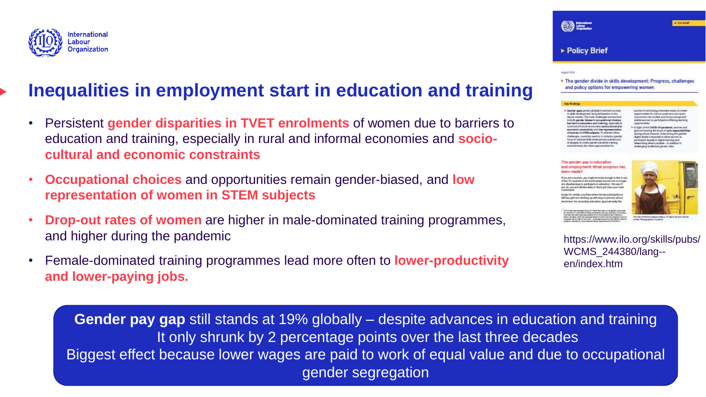

### **Inequalities in employment start in education and training**

- Persistent **gender disparities in TVET enrolments** of women due to barriers to education and training, especially in rural and informal economies and **sociocultural and economic constraints**
- **Occupational choices** and opportunities remain gender-biased, and **low representation of women in STEM subjects**
- **Drop-out rates of women** are higher in male-dominated training programmes, and higher during the pandemic
- Female-dominated training programmes lead more often to **lower-productivity and lower-paying jobs.**

| <b>Policy Brief</b>                                                                                                                                                                                                                                                                                   |                                                                                                                                                                                                                                                                                                                                                |
|-------------------------------------------------------------------------------------------------------------------------------------------------------------------------------------------------------------------------------------------------------------------------------------------------------|------------------------------------------------------------------------------------------------------------------------------------------------------------------------------------------------------------------------------------------------------------------------------------------------------------------------------------------------|
| 2006<br>nd policy options for empowering women                                                                                                                                                                                                                                                        | he gender divide in skills development: Progress, challenges                                                                                                                                                                                                                                                                                   |
| findings                                                                                                                                                                                                                                                                                              |                                                                                                                                                                                                                                                                                                                                                |
| sender gasia bertist globally in economic access.<br>sights development and participation in the<br>dour inadest. The main challenges women face-<br>clude gender biases in accupational choices;<br>arriers to education and training, repectify in                                                  | women in technology-intensive areas; by create<br>opportunities for men in social and care work:<br>Vi promote rigie modelit; and vi) encourage and<br>Anable women to participate in iffelong learning<br>opportunities.                                                                                                                      |
| and and informal economies; eaclocultural and<br>consents constraints; and low representation<br>Fevorean in STEM aubiects. To address these<br>hallenges, countries need to: is include a gender<br>bnezeicke trempolieuteb zäbbi signalten ni zug<br>consider: il) create gender censitive training | In light of the COVID-19 pandemic, women and<br>girls are bearing the brunt of care responsibilities.<br>during school closures. Overcoming the pender<br>digital divide is essential to allow women to<br>participate equally in digital learning and<br>celevariong where possible - in addition to<br>challenging traditional gender roles. |
| nyintanawet, its create opportunities for                                                                                                                                                                                                                                                             |                                                                                                                                                                                                                                                                                                                                                |

 $>$  EO brief

### and employment: What progress has

 $@=$ 

a worsen, you might be kidsy enough to live in one c, you are call legs likely to find a job than your mail

ping are catching up with boys in primary scho-

https://www.ilo.org/skills/pubs/ WCMS\_244380/lang- en/index.htm

**Gender pay gap** still stands at 19% globally – despite advances in education and training It only shrunk by 2 percentage points over the last three decades Biggest effect because lower wages are paid to work of equal value and due to occupational gender segregation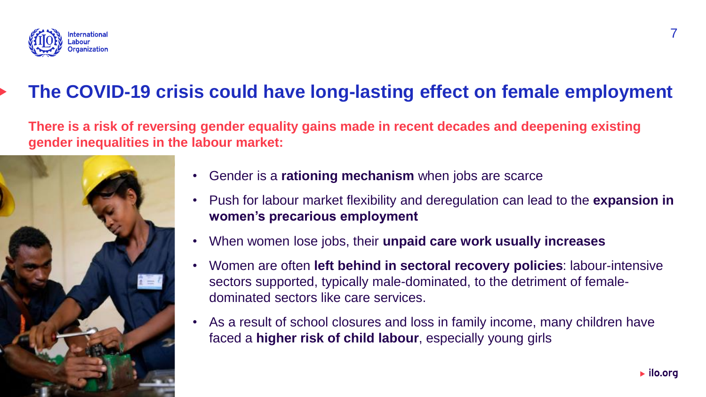

### **The COVID-19 crisis could have long-lasting effect on female employment**

**There is a risk of reversing gender equality gains made in recent decades and deepening existing gender inequalities in the labour market:**



- Gender is a **rationing mechanism** when jobs are scarce
- Push for labour market flexibility and deregulation can lead to the **expansion in women's precarious employment**
- When women lose jobs, their **unpaid care work usually increases**
- Women are often **left behind in sectoral recovery policies**: labour-intensive sectors supported, typically male-dominated, to the detriment of femaledominated sectors like care services.
- As a result of school closures and loss in family income, many children have faced a **higher risk of child labour**, especially young girls

 $\blacktriangleright$  ilo.org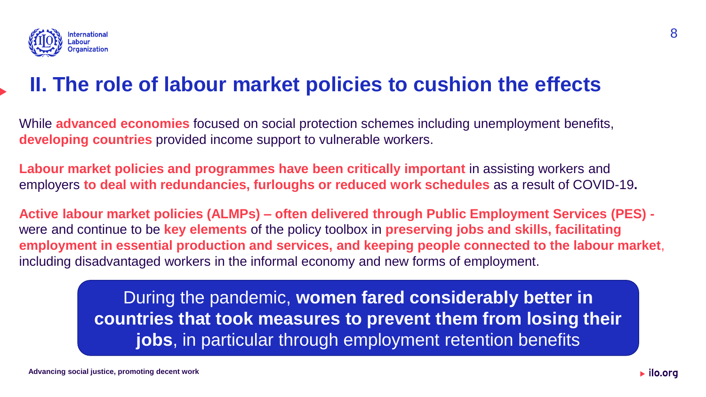

### **II. The role of labour market policies to cushion the effects**

While **advanced economies** focused on social protection schemes including unemployment benefits, **developing countries** provided income support to vulnerable workers.

**Labour market policies and programmes have been critically important** in assisting workers and employers **to deal with redundancies, furloughs or reduced work schedules** as a result of COVID-19**.**

**Active labour market policies (ALMPs) – often delivered through Public Employment Services (PES)**  were and continue to be **key elements** of the policy toolbox in **preserving jobs and skills, facilitating employment in essential production and services, and keeping people connected to the labour market**, including disadvantaged workers in the informal economy and new forms of employment.

> During the pandemic, **women fared considerably better in countries that took measures to prevent them from losing their jobs**, in particular through employment retention benefits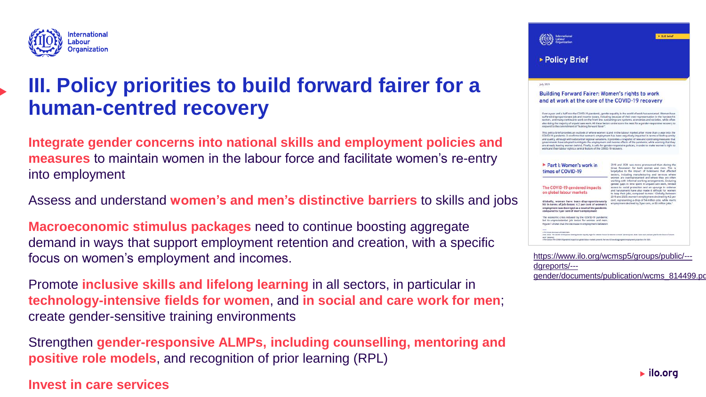

### **III. Policy priorities to build forward fairer for a human-centred recovery**

**Integrate gender concerns into national skills and employment policies and measures** to maintain women in the labour force and facilitate women's re-entry into employment

Assess and understand **women's and men's distinctive barriers** to skills and jobs

**Macroeconomic stimulus packages** need to continue boosting aggregate demand in ways that support employment retention and creation, with a specific focus on women's employment and incomes.

Promote **inclusive skills and lifelong learning** in all sectors, in particular in **technology-intensive fields for women**, and **in social and care work for men**; create gender-sensitive training environments

Strengthen **gender-responsive ALMPs, including counselling, mentoring and positive role models**, and recognition of prior learning (RPL)

**Invest in care services**

| ▶ Policy Brief                                                                                                                                                                                            |                                                                                                                                                                                                                                                                                                                                                                                                                                                                                                                                                                                                                                                                                                                             |  |
|-----------------------------------------------------------------------------------------------------------------------------------------------------------------------------------------------------------|-----------------------------------------------------------------------------------------------------------------------------------------------------------------------------------------------------------------------------------------------------------------------------------------------------------------------------------------------------------------------------------------------------------------------------------------------------------------------------------------------------------------------------------------------------------------------------------------------------------------------------------------------------------------------------------------------------------------------------|--|
| July 2021                                                                                                                                                                                                 |                                                                                                                                                                                                                                                                                                                                                                                                                                                                                                                                                                                                                                                                                                                             |  |
| <b>Building Forward Fairer: Women's rights to work</b>                                                                                                                                                    |                                                                                                                                                                                                                                                                                                                                                                                                                                                                                                                                                                                                                                                                                                                             |  |
| and at work at the core of the COVID-19 recovery                                                                                                                                                          |                                                                                                                                                                                                                                                                                                                                                                                                                                                                                                                                                                                                                                                                                                                             |  |
| respond to the commitment of "building forward fairer".                                                                                                                                                   | Over a year and a half into the COVID-19 pandemic, gender equality in the world of work has worsened. Women have<br>suffered disproportionate job and income losses, including because of their over representation in the hardest-hit<br>sectors, and many continue to work on the front line, sustaining care systems, economies and societies, while often<br>also doing the majority of unpaid care work. All these factors underscore the need for a gender-responsive recovery to<br>This policy brief provides an outlook of where women stand in the labour market after more than a year into the<br>COVID-19 pandemic. It confirms that women's employment has been negatively impacted in terms of both quantity |  |
| governments have adopted to mitigate the employment and income effects of the pandemic, while warning that they                                                                                           | and quality, although with substantial regional variations. It provides a snapshot of new and continuing measures that                                                                                                                                                                                                                                                                                                                                                                                                                                                                                                                                                                                                      |  |
| Part I: Women's work in                                                                                                                                                                                   | are already leaving women behind. Finally, it calls for gender-responsive policies, in order to make women's right to<br>2019 and 2020 was more pronounced than during the                                                                                                                                                                                                                                                                                                                                                                                                                                                                                                                                                  |  |
| work and their labour rights a central feature of the COVID-19 recovery.<br>times of COVID-19                                                                                                             | Great Recession' for both women and men. This is<br>largelydue to the impact of lockdowns that affected<br>sectors, including manufacturing and services where<br>women are overrepresented and where they are often<br>working with informal working arrangements. Enduring                                                                                                                                                                                                                                                                                                                                                                                                                                                |  |
| The COVID-19 gendered impacts<br>on global labour markets                                                                                                                                                 | gender gaps in time spent in unpaid care work, limited<br>access to social protection and an upsurge in violence<br>and harassment have also made it difficult for women<br>to keep their jobs, compared to men. <sup>3</sup> Globally, between<br>2019 and 2020, women's employment declined by 4.2 per                                                                                                                                                                                                                                                                                                                                                                                                                    |  |
| Globally, women have been disproportionately<br>hit in terms of job-losses: 4.2 per cent of women's<br>employment was destroyed as a result of the pandemic<br>compared to 3 per cent of men's employment | cent, representing a drop of 54 million jobs, while men's<br>employment declined by 3 per cent, or 60 million jobs. <sup>3</sup>                                                                                                                                                                                                                                                                                                                                                                                                                                                                                                                                                                                            |  |
| The economic crisis induced by the COVID-19 pandemic<br>led to unprecedented job losses for women and men.<br>Figure 1 shows that the decrease in employment between                                      |                                                                                                                                                                                                                                                                                                                                                                                                                                                                                                                                                                                                                                                                                                                             |  |

 $\blacktriangleright$  ilo.org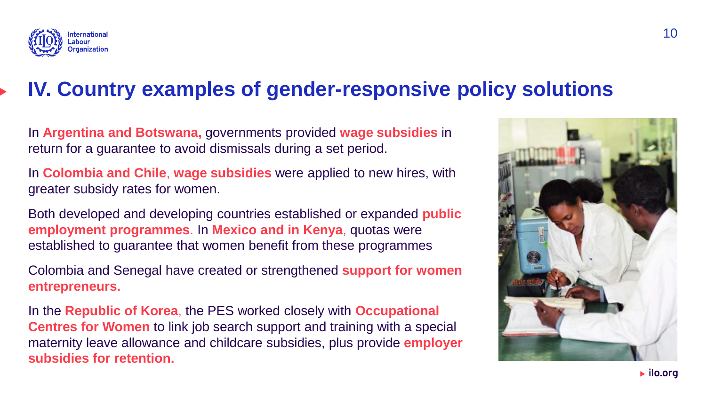

### **IV. Country examples of gender-responsive policy solutions**

In **Argentina and Botswana,** governments provided **wage subsidies** in return for a guarantee to avoid dismissals during a set period.

In **Colombia and Chile**, **wage subsidies** were applied to new hires, with greater subsidy rates for women.

Both developed and developing countries established or expanded **public employment programmes**. In **Mexico and in Kenya**, quotas were established to guarantee that women benefit from these programmes

Colombia and Senegal have created or strengthened **support for women entrepreneurs.**

In the **Republic of Korea**, the PES worked closely with **Occupational Centres for Women** to link job search support and training with a special maternity leave allowance and childcare subsidies, plus provide **employer subsidies for retention.**